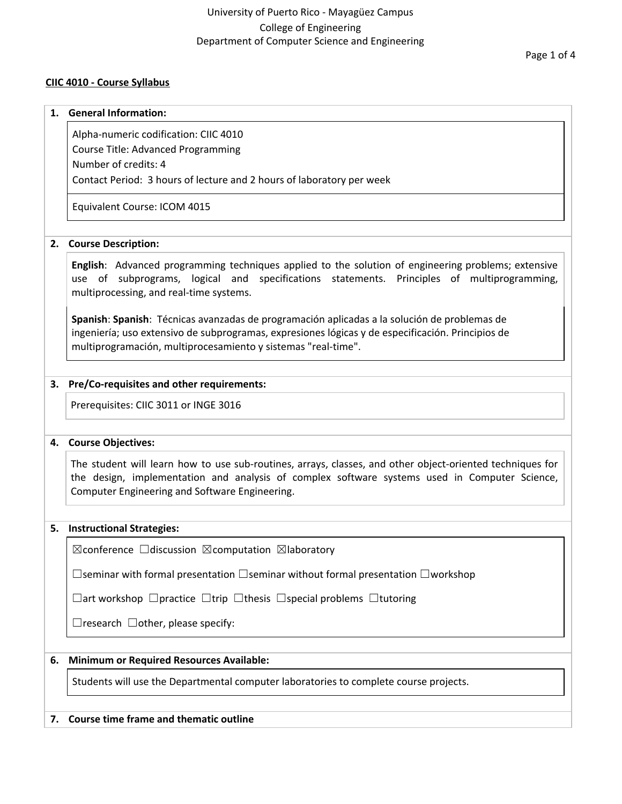## University of Puerto Rico - Mayagüez Campus College of Engineering Department of Computer Science and Engineering

### **CIIC 4010 - Course Syllabus**

#### **1. General Information:**

Alpha-numeric codification: CIIC 4010

Course Title: Advanced Programming

Number of credits: 4

Contact Period: 3 hours of lecture and 2 hours of laboratory per week

Equivalent Course: ICOM 4015

### **2. Course Description:**

**English**: Advanced programming techniques applied to the solution of engineering problems; extensive use of subprograms, logical and specifications statements. Principles of multiprogramming, multiprocessing, and real-time systems.

**Spanish**: **Spanish**: Técnicas avanzadas de programación aplicadas a la solución de problemas de ingeniería; uso extensivo de subprogramas, expresiones lógicas y de especificación. Principios de multiprogramación, multiprocesamiento y sistemas "real-time".

### **3. Pre/Co-requisites and other requirements:**

Prerequisites: CIIC 3011 or INGE 3016

### **4. Course Objectives:**

The student will learn how to use sub-routines, arrays, classes, and other object-oriented techniques for the design, implementation and analysis of complex software systems used in Computer Science, Computer Engineering and Software Engineering.

### **5. Instructional Strategies:**

 $\boxtimes$ conference  $\Box$ discussion  $\boxtimes$ computation  $\boxtimes$ laboratory

☐seminar with formal presentation ☐seminar without formal presentation ☐workshop

☐art workshop ☐practice ☐trip ☐thesis ☐special problems ☐tutoring

 $\Box$ research  $\Box$ other, please specify:

### **6. Minimum or Required Resources Available:**

Students will use the Departmental computer laboratories to complete course projects.

### **7. Course time frame and thematic outline**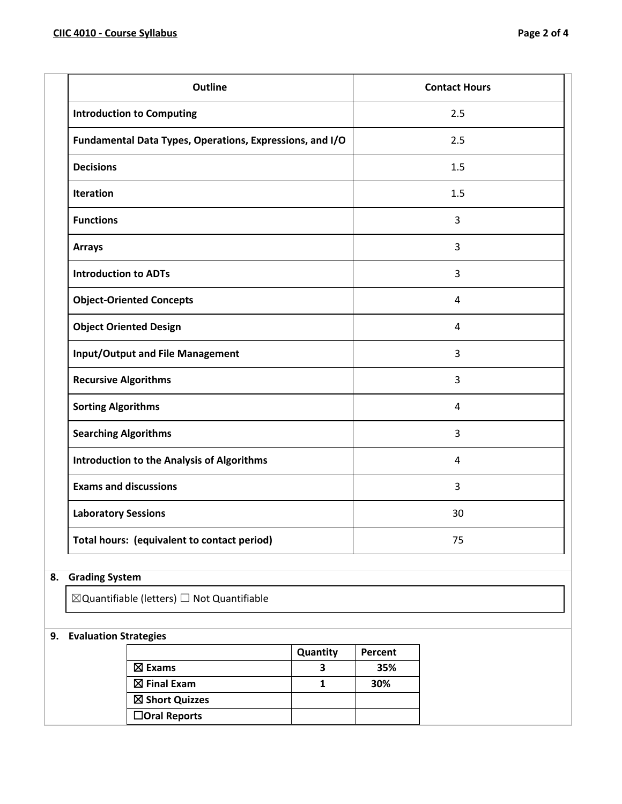| <b>Outline</b>                                           | <b>Contact Hours</b> |
|----------------------------------------------------------|----------------------|
| <b>Introduction to Computing</b>                         | 2.5                  |
| Fundamental Data Types, Operations, Expressions, and I/O | 2.5                  |
| <b>Decisions</b>                                         | 1.5                  |
| <b>Iteration</b>                                         | 1.5                  |
| <b>Functions</b>                                         | 3                    |
| <b>Arrays</b>                                            | 3                    |
| <b>Introduction to ADTs</b>                              | $\overline{3}$       |
| <b>Object-Oriented Concepts</b>                          | 4                    |
| <b>Object Oriented Design</b>                            | 4                    |
| <b>Input/Output and File Management</b>                  | 3                    |
| <b>Recursive Algorithms</b>                              | 3                    |
| <b>Sorting Algorithms</b>                                | $\overline{4}$       |
| <b>Searching Algorithms</b>                              | 3                    |
| <b>Introduction to the Analysis of Algorithms</b>        | $\overline{4}$       |
| <b>Exams and discussions</b>                             | $\overline{3}$       |
| <b>Laboratory Sessions</b>                               | 30                   |
| Total hours: (equivalent to contact period)              | 75                   |

# **8. Grading System**

 $\boxtimes$ Quantifiable (letters)  $\Box$  Not Quantifiable

## **9. Evaluation Strategies**

|                        | Quantity | Percent |
|------------------------|----------|---------|
| $\boxtimes$ Exams      |          | 35%     |
| $\boxtimes$ Final Exam |          | 30%     |
| ⊠ Short Quizzes        |          |         |
| $\Box$ Oral Reports    |          |         |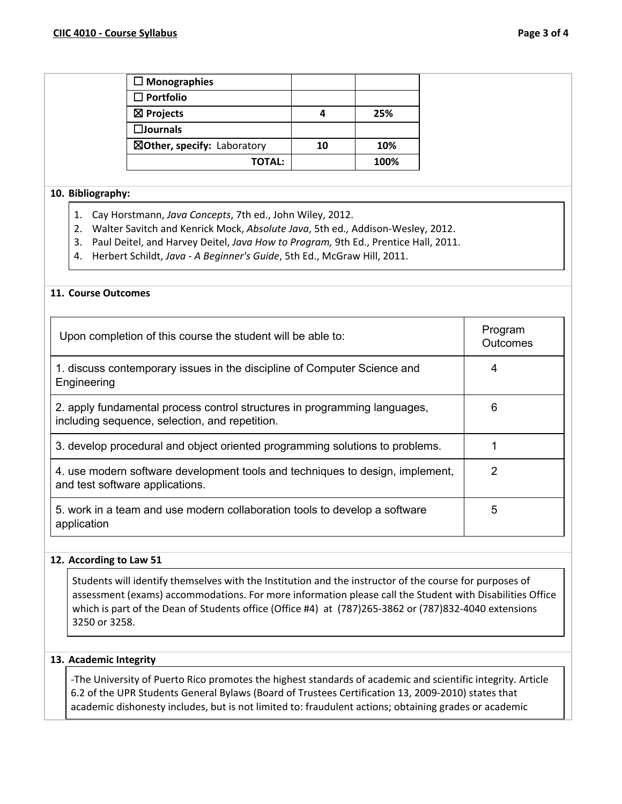| $\Box$ Monographies         |    |      |
|-----------------------------|----|------|
| $\Box$ Portfolio            |    |      |
| $\boxtimes$ Projects        |    | 25%  |
| $\square$ Journals          |    |      |
| ⊠Other, specify: Laboratory | 10 | 10%  |
| <b>TOTAL:</b>               |    | 100% |

## **10. Bibliography:**

- 1. Cay Horstmann, *Java Concepts*, 7th ed., John Wiley, 2012.
- 2. Walter Savitch and Kenrick Mock, *Absolute Java*, 5th ed*.,* Addison-Wesley, 2012.
- 3. Paul Deitel, and Harvey Deitel, *Java How to Program,* 9th Ed., Prentice Hall, 2011.
- 4. Herbert Schildt, *Java - A Beginner's Guide*, 5th Ed., McGraw Hill, 2011.

## **11. Course Outcomes**

| Upon completion of this course the student will be able to:                                                                 | Program<br><b>Outcomes</b> |
|-----------------------------------------------------------------------------------------------------------------------------|----------------------------|
| 1. discuss contemporary issues in the discipline of Computer Science and<br>Engineering                                     | 4                          |
| 2. apply fundamental process control structures in programming languages,<br>including sequence, selection, and repetition. | 6                          |
| 3. develop procedural and object oriented programming solutions to problems.                                                |                            |
| 4. use modern software development tools and techniques to design, implement,<br>and test software applications.            | 2                          |
| 5. work in a team and use modern collaboration tools to develop a software<br>application                                   | 5                          |

## **12. According to Law 51**

Students will identify themselves with the Institution and the instructor of the course for purposes of assessment (exams) accommodations. For more information please call the Student with Disabilities Office which is part of the Dean of Students office (Office #4) at (787)265-3862 or (787)832-4040 extensions 3250 or 3258.

## **13. Academic Integrity**

-The University of Puerto Rico promotes the highest standards of academic and scientific integrity. Article 6.2 of the UPR Students General Bylaws (Board of Trustees Certification 13, 2009-2010) states that academic dishonesty includes, but is not limited to: fraudulent actions; obtaining grades or academic